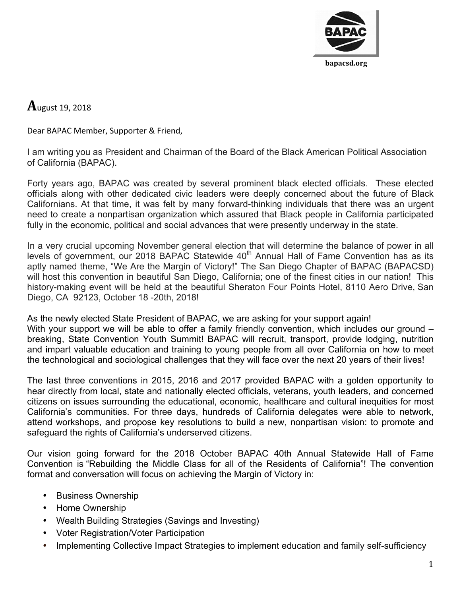

 $A$ ugust 19, 2018

Dear BAPAC Member, Supporter & Friend,

I am writing you as President and Chairman of the Board of the Black American Political Association of California (BAPAC).

Forty years ago, BAPAC was created by several prominent black elected officials. These elected officials along with other dedicated civic leaders were deeply concerned about the future of Black Californians. At that time, it was felt by many forward-thinking individuals that there was an urgent need to create a nonpartisan organization which assured that Black people in California participated fully in the economic, political and social advances that were presently underway in the state.

In a very crucial upcoming November general election that will determine the balance of power in all levels of government, our 2018 BAPAC Statewide 40<sup>th</sup> Annual Hall of Fame Convention has as its aptly named theme, "We Are the Margin of Victory!" The San Diego Chapter of BAPAC (BAPACSD) will host this convention in beautiful San Diego, California; one of the finest cities in our nation! This history-making event will be held at the beautiful Sheraton Four Points Hotel, 8110 Aero Drive, San Diego, CA 92123, October 18 -20th, 2018!

As the newly elected State President of BAPAC, we are asking for your support again! With your support we will be able to offer a family friendly convention, which includes our ground – breaking, State Convention Youth Summit! BAPAC will recruit, transport, provide lodging, nutrition and impart valuable education and training to young people from all over California on how to meet the technological and sociological challenges that they will face over the next 20 years of their lives!

The last three conventions in 2015, 2016 and 2017 provided BAPAC with a golden opportunity to hear directly from local, state and nationally elected officials, veterans, youth leaders, and concerned citizens on issues surrounding the educational, economic, healthcare and cultural inequities for most California's communities. For three days, hundreds of California delegates were able to network, attend workshops, and propose key resolutions to build a new, nonpartisan vision: to promote and safeguard the rights of California's underserved citizens.

Our vision going forward for the 2018 October BAPAC 40th Annual Statewide Hall of Fame Convention is "Rebuilding the Middle Class for all of the Residents of California"! The convention format and conversation will focus on achieving the Margin of Victory in:

- Business Ownership
- Home Ownership
- Wealth Building Strategies (Savings and Investing)
- Voter Registration/Voter Participation
- Implementing Collective Impact Strategies to implement education and family self-sufficiency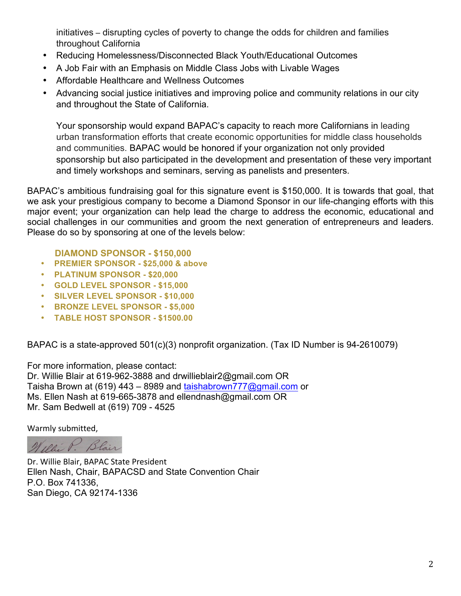initiatives – disrupting cycles of poverty to change the odds for children and families throughout California

- Reducing Homelessness/Disconnected Black Youth/Educational Outcomes
- A Job Fair with an Emphasis on Middle Class Jobs with Livable Wages
- Affordable Healthcare and Wellness Outcomes
- Advancing social justice initiatives and improving police and community relations in our city and throughout the State of California.

Your sponsorship would expand BAPAC's capacity to reach more Californians in leading urban transformation efforts that create economic opportunities for middle class households and communities. BAPAC would be honored if your organization not only provided sponsorship but also participated in the development and presentation of these very important and timely workshops and seminars, serving as panelists and presenters.

BAPAC's ambitious fundraising goal for this signature event is \$150,000. It is towards that goal, that we ask your prestigious company to become a Diamond Sponsor in our life-changing efforts with this major event; your organization can help lead the charge to address the economic, educational and social challenges in our communities and groom the next generation of entrepreneurs and leaders. Please do so by sponsoring at one of the levels below:

 **DIAMOND SPONSOR - \$150,000**

- **PREMIER SPONSOR - \$25,000 & above**
- **PLATINUM SPONSOR - \$20,000**
- **GOLD LEVEL SPONSOR - \$15,000**
- **SILVER LEVEL SPONSOR - \$10,000**
- **BRONZE LEVEL SPONSOR - \$5,000**
- **TABLE HOST SPONSOR - \$1500.00**

BAPAC is a state-approved 501(c)(3) nonprofit organization. (Tax ID Number is 94-2610079)

For more information, please contact: Dr. Willie Blair at 619-962-3888 and drwillieblair2@gmail.com OR Taisha Brown at (619) 443 – 8989 and taishabrown 777@gmail.com or Ms. Ellen Nash at 619-665-3878 and ellendnash@gmail.com OR Mr. Sam Bedwell at (619) 709 - 4525

Warmly submitted,

Willie P. Blair

Dr. Willie Blair, BAPAC State President Ellen Nash, Chair, BAPACSD and State Convention Chair P.O. Box 741336, San Diego, CA 92174-1336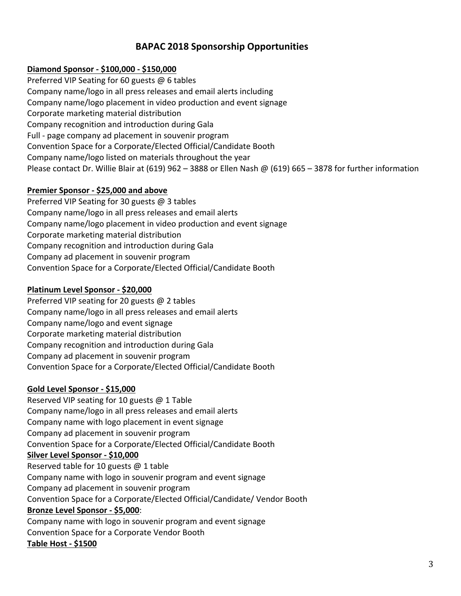## **BAPAC 2018 Sponsorship Opportunities**

## **Diamond Sponsor - \$100,000 - \$150,000**

Preferred VIP Seating for 60 guests  $@$  6 tables Company name/logo in all press releases and email alerts including Company name/logo placement in video production and event signage Corporate marketing material distribution Company recognition and introduction during Gala Full - page company ad placement in souvenir program Convention Space for a Corporate/Elected Official/Candidate Booth Company name/logo listed on materials throughout the year Please contact Dr. Willie Blair at (619) 962 – 3888 or Ellen Nash @ (619) 665 – 3878 for further information

## **Premier Sponsor - \$25,000 and above**

Preferred VIP Seating for 30 guests  $@$  3 tables Company name/logo in all press releases and email alerts Company name/logo placement in video production and event signage Corporate marketing material distribution Company recognition and introduction during Gala Company ad placement in souvenir program Convention Space for a Corporate/Elected Official/Candidate Booth

## **Platinum Level Sponsor - \$20,000**

Preferred VIP seating for 20 guests  $@$  2 tables Company name/logo in all press releases and email alerts Company name/logo and event signage Corporate marketing material distribution Company recognition and introduction during Gala Company ad placement in souvenir program Convention Space for a Corporate/Elected Official/Candidate Booth

## **Gold Level Sponsor - \$15,000**

Reserved VIP seating for 10 guests  $@$  1 Table Company name/logo in all press releases and email alerts Company name with logo placement in event signage Company ad placement in souvenir program Convention Space for a Corporate/Elected Official/Candidate Booth **Silver Level Sponsor - \$10,000** Reserved table for 10 guests  $\omega$  1 table Company name with logo in souvenir program and event signage Company ad placement in souvenir program Convention Space for a Corporate/Elected Official/Candidate/ Vendor Booth **Bronze Level Sponsor - \$5,000**: Company name with logo in souvenir program and event signage Convention Space for a Corporate Vendor Booth

#### **Table Host - \$1500**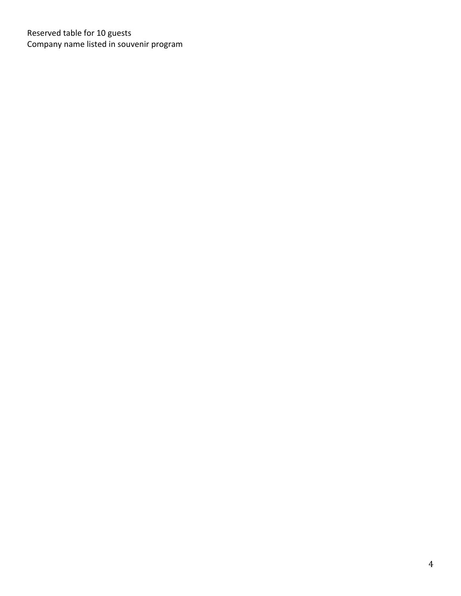Reserved table for 10 guests Company name listed in souvenir program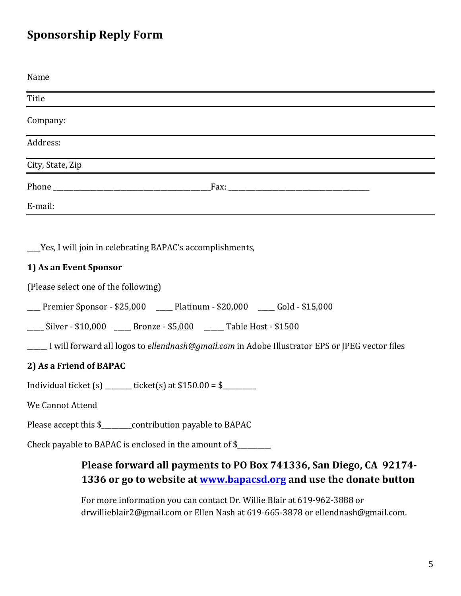## **Sponsorship Reply Form**

| Name                                                         |
|--------------------------------------------------------------|
| Title                                                        |
| Company:                                                     |
| Address:                                                     |
| City, State, Zip                                             |
|                                                              |
| E-mail:                                                      |
|                                                              |
| ____Yes, I will join in celebrating BAPAC's accomplishments, |
| 1) As an Event Sponsor                                       |

(Please select one of the following)

| Premier Sponsor - \$25,000 | Platinum - \$20,000 | Gold - \$15,000 |
|----------------------------|---------------------|-----------------|
|----------------------------|---------------------|-----------------|

\_\_\_\_\_ Silver - \$10,000 \_\_\_\_\_ Bronze - \$5,000 \_\_\_\_\_ Table Host - \$1500

**\_\_\_\_\_** I will forward all logos to *ellendnash@gmail.com* in Adobe Illustrator EPS or JPEG vector files

## **2)** As a Friend of BAPAC

Individual ticket (s) \_\_\_\_\_\_\_\_ ticket(s) at \$150.00 = \$\_\_\_\_\_\_\_\_\_\_

We Cannot Attend

Please accept this \$\_\_\_\_\_\_\_contribution payable to BAPAC

Check payable to BAPAC is enclosed in the amount of \$\_\_\_\_\_\_\_\_

## Please forward all payments to PO Box 741336, San Diego, CA 92174-**1336** or go to website at **www.bapacsd.org** and use the donate button

For more information you can contact Dr. Willie Blair at 619-962-3888 or drwillieblair2@gmail.com or Ellen Nash at 619-665-3878 or ellendnash@gmail.com.